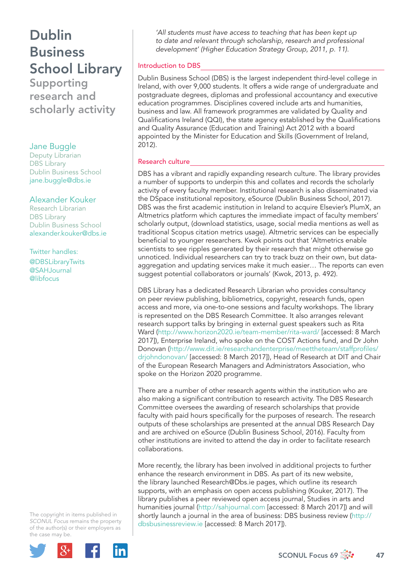# Dublin **Business** School Library

Supporting research and scholarly activity

### Jane Buggle

Deputy Librarian DBS Library Dublin Business School jane.buggle@dbs.ie

#### Alexander Kouker

Research Librarian DBS Library Dublin Business School alexander.kouker@dbs.ie

Twitter handles: @DBSLibraryTwits @SAHJournal @libfocus

The copyright in items published in *SCONUL Focus* remains the property of the author(s) or their employers as the case may be.



*'All students must have access to teaching that has been kept up to date and relevant through scholarship, research and professional development' (Higher Education Strategy Group, 2011, p. 11).*

#### Introduction to DBS

Dublin Business School (DBS) is the largest independent third-level college in Ireland, with over 9,000 students. It offers a wide range of undergraduate and postgraduate degrees, diplomas and professional accountancy and executive education programmes. Disciplines covered include arts and humanities, business and law. All framework programmes are validated by Quality and Qualifications Ireland (QQI), the state agency established by the Qualifications and Quality Assurance (Education and Training) Act 2012 with a board appointed by the Minister for Education and Skills (Government of Ireland, 2012).

#### Research culture

DBS has a vibrant and rapidly expanding research culture. The library provides a number of supports to underpin this and collates and records the scholarly activity of every faculty member. Institutional research is also disseminated via the DSpace institutional repository, eSource (Dublin Business School, 2017). DBS was the first academic institution in Ireland to acquire Elsevier's PlumX, an Altmetrics platform which captures the immediate impact of faculty members' scholarly output, (download statistics, usage, social media mentions as well as traditional Scopus citation metrics usage). Altmetric services can be especially beneficial to younger researchers. Kwok points out that 'Altmetrics enable scientists to see ripples generated by their research that might otherwise go unnoticed. Individual researchers can try to track buzz on their own, but dataaggregation and updating services make it much easier… The reports can even suggest potential collaborators or journals' (Kwok, 2013, p. 492).

DBS Library has a dedicated Research Librarian who provides consultancy on peer review publishing, bibliometrics, copyright, research funds, open access and more, via one-to-one sessions and faculty workshops. The library is represented on the DBS Research Committee. It also arranges relevant research support talks by bringing in external guest speakers such as Rita Ward (http://www.horizon2020.ie/team-member/rita-ward/ [accessed: 8 March 2017]), Enterprise Ireland, who spoke on the COST Actions fund, and Dr John Donovan (http://www.dit.ie/researchandenterprise/meettheteam/staffprofiles/ drjohndonovan/ [accessed: 8 March 2017]), Head of Research at DIT and Chair of the European Research Managers and Administrators Association, who spoke on the Horizon 2020 programme.

There are a number of other research agents within the institution who are also making a significant contribution to research activity. The DBS Research Committee oversees the awarding of research scholarships that provide faculty with paid hours specifically for the purposes of research. The research outputs of these scholarships are presented at the annual DBS Research Day and are archived on eSource (Dublin Business School, 2016). Faculty from other institutions are invited to attend the day in order to facilitate research collaborations.

More recently, the library has been involved in additional projects to further enhance the research environment in DBS. As part of its new website, the library launched Research@Dbs.ie pages, which outline its research supports, with an emphasis on open access publishing (Kouker, 2017). The library publishes a peer reviewed open access journal, Studies in arts and humanities journal (http://sahjournal.com [accessed: 8 March 2017]) and will shortly launch a journal in the area of business: DBS business review (http:// dbsbusinessreview.ie [accessed: 8 March 2017]).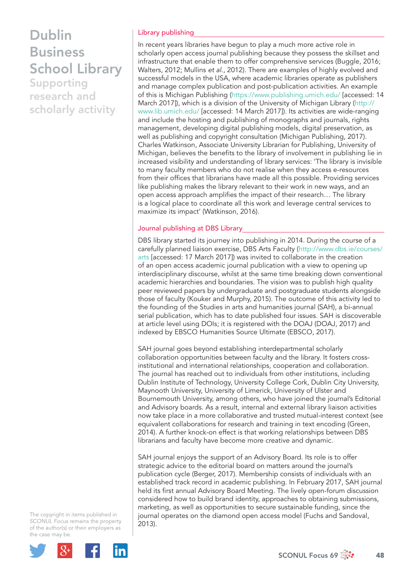### Dublin **Business** School Library Supporting

research and scholarly activity

#### Library publishing

In recent years libraries have begun to play a much more active role in scholarly open access journal publishing because they possess the skillset and infrastructure that enable them to offer comprehensive services (Buggle, 2016; Walters, 2012; Mullins *et al*., 2012). There are examples of highly evolved and successful models in the USA, where academic libraries operate as publishers and manage complex publication and post-publication activities. An example of this is Michigan Publishing (https://www.publishing.umich.edu/ [accessed: 14 March 2017]), which is a division of the University of Michigan Library (http:// www.lib.umich.edu/ [accessed: 14 March 2017]). Its activities are wide-ranging and include the hosting and publishing of monographs and journals, rights management, developing digital publishing models, digital preservation, as well as publishing and copyright consultation (Michigan Publishing, 2017). Charles Watkinson, Associate University Librarian for Publishing, University of Michigan, believes the benefits to the library of involvement in publishing lie in increased visibility and understanding of library services: 'The library is invisible to many faculty members who do not realise when they access e-resources from their offices that librarians have made all this possible. Providing services like publishing makes the library relevant to their work in new ways, and an open access approach amplifies the impact of their research... The library is a logical place to coordinate all this work and leverage central services to maximize its impact' (Watkinson, 2016).

#### Journal publishing at DBS Library

DBS library started its journey into publishing in 2014. During the course of a carefully planned liaison exercise, DBS Arts Faculty (http://www.dbs.ie/courses/ arts [accessed: 17 March 2017]) was invited to collaborate in the creation of an open access academic journal publication with a view to opening up interdisciplinary discourse, whilst at the same time breaking down conventional academic hierarchies and boundaries. The vision was to publish high quality peer reviewed papers by undergraduate and postgraduate students alongside those of faculty (Kouker and Murphy, 2015). The outcome of this activity led to the founding of the Studies in arts and humanities journal (SAH), a bi-annual serial publication, which has to date published four issues. SAH is discoverable at article level using DOIs; it is registered with the DOAJ (DOAJ, 2017) and indexed by EBSCO Humanities Source Ultimate (EBSCO, 2017).

SAH journal goes beyond establishing interdepartmental scholarly collaboration opportunities between faculty and the library. It fosters crossinstitutional and international relationships, cooperation and collaboration. The journal has reached out to individuals from other institutions, including Dublin Institute of Technology, University College Cork, Dublin City University, Maynooth University, University of Limerick, University of Ulster and Bournemouth University, among others, who have joined the journal's Editorial and Advisory boards. As a result, internal and external library liaison activities now take place in a more collaborative and trusted mutual-interest context (see equivalent collaborations for research and training in text encoding (Green, 2014). A further knock-on effect is that working relationships between DBS librarians and faculty have become more creative and dynamic.

SAH journal enjoys the support of an Advisory Board. Its role is to offer strategic advice to the editorial board on matters around the journal's publication cycle (Berger, 2017). Membership consists of individuals with an established track record in academic publishing. In February 2017, SAH journal held its first annual Advisory Board Meeting. The lively open-forum discussion considered how to build brand identity, approaches to obtaining submissions, marketing, as well as opportunities to secure sustainable funding, since the journal operates on the diamond open access model (Fuchs and Sandoval, 2013).

The copyright in items published in *SCONUL Focus* remains the property of the author(s) or their employers as the case may be.

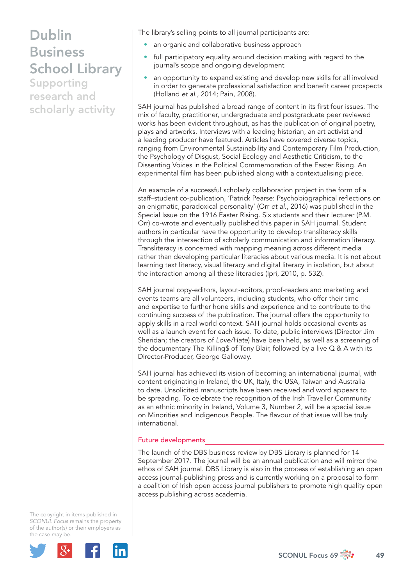### Dublin **Business** School Library

Supporting research and scholarly activity The library's selling points to all journal participants are:

- an organic and collaborative business approach
- full participatory equality around decision making with regard to the journal's scope and ongoing development
- an opportunity to expand existing and develop new skills for all involved in order to generate professional satisfaction and benefit career prospects (Holland *et al*., 2014; Pain, 2008).

SAH journal has published a broad range of content in its first four issues. The mix of faculty, practitioner, undergraduate and postgraduate peer reviewed works has been evident throughout, as has the publication of original poetry, plays and artworks. Interviews with a leading historian, an art activist and a leading producer have featured. Articles have covered diverse topics, ranging from Environmental Sustainability and Contemporary Film Production, the Psychology of Disgust, Social Ecology and Aesthetic Criticism, to the Dissenting Voices in the Political Commemoration of the Easter Rising. An experimental film has been published along with a contextualising piece.

An example of a successful scholarly collaboration project in the form of a staff-student co-publication, 'Patrick Pearse: Psychobiographical reflections on an enigmatic, paradoxical personality' (Orr *et al*., 2016) was published in the Special Issue on the 1916 Easter Rising. Six students and their lecturer (P.M. Orr) co-wrote and eventually published this paper in SAH journal. Student authors in particular have the opportunity to develop transliteracy skills through the intersection of scholarly communication and information literacy. Transliteracy is concerned with mapping meaning across different media rather than developing particular literacies about various media. It is not about learning text literacy, visual literacy and digital literacy in isolation, but about the interaction among all these literacies (Ipri, 2010, p. 532).

SAH journal copy-editors, layout-editors, proof-readers and marketing and events teams are all volunteers, including students, who offer their time and expertise to further hone skills and experience and to contribute to the continuing success of the publication. The journal offers the opportunity to apply skills in a real world context. SAH journal holds occasional events as well as a launch event for each issue. To date, public interviews (Director Jim Sheridan; the creators of *Love/Hate*) have been held, as well as a screening of the documentary The Killing\$ of Tony Blair, followed by a live  $Q & A$  with its Director-Producer, George Galloway.

SAH journal has achieved its vision of becoming an international journal, with content originating in Ireland, the UK, Italy, the USA, Taiwan and Australia to date. Unsolicited manuscripts have been received and word appears to be spreading. To celebrate the recognition of the Irish Traveller Community as an ethnic minority in Ireland, Volume 3, Number 2, will be a special issue on Minorities and Indigenous People. The flavour of that issue will be truly international.

#### Future developments

The launch of the DBS business review by DBS Library is planned for 14 September 2017. The journal will be an annual publication and will mirror the ethos of SAH journal. DBS Library is also in the process of establishing an open access journal-publishing press and is currently working on a proposal to form a coalition of Irish open access journal publishers to promote high quality open access publishing across academia.

The copyright in items published in *SCONUL Focus* remains the property of the author(s) or their employers as the case may be.